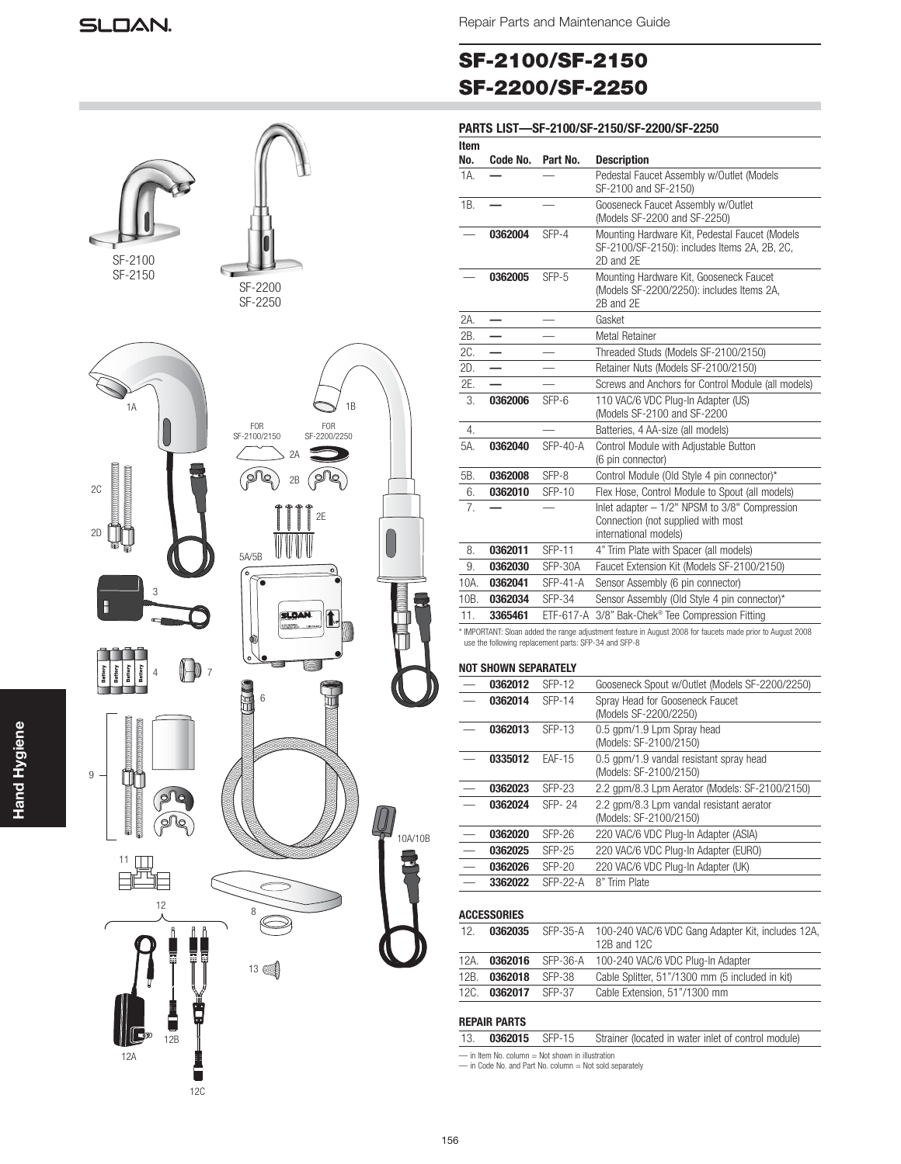# **SF-2100/SF-2150 SF-2200/SF-2250**

### **PARTS LIST—SF-2100/SF-2150/SF-2200/SF-2250**

| SF-2100<br>SF-2150                                                                                                                                                                                            | SF-2200<br>SF-2250                                     |         |
|---------------------------------------------------------------------------------------------------------------------------------------------------------------------------------------------------------------|--------------------------------------------------------|---------|
| 1A                                                                                                                                                                                                            | 1B<br>FOR<br>SF-2200/2250<br>FOR<br>SF-2100/2150<br>2A |         |
| 2C<br>2D                                                                                                                                                                                                      | ø<br>2B<br>lo<br>∩<br>2E<br>5A/5B<br>$\circ$<br>0      |         |
| 3<br>Œ<br>Battery<br>Battery<br>Battery<br>Battery<br>$\overline{7}$<br>4                                                                                                                                     | <b>LOAN.</b><br><b>1</b> .<br>œ<br>$\overline{6}$      |         |
| <u>. Manazini il provinci il molti di un provinci di un provinci di un provinci di un provinci di un provinci di</u><br>annon<br>$\boldsymbol{9}$<br><b>Controllection Control</b><br>management<br>$\bullet$ |                                                        |         |
| 11<br>12<br>ĥ<br>ĥ<br>ĥ                                                                                                                                                                                       | 8                                                      | 10A/10B |
| 12B<br>12A                                                                                                                                                                                                    | 13 图                                                   |         |

 $\overline{\phantom{a}}$ 

12C

| ltem<br>No.      |          |                 |                                                                                                                   |
|------------------|----------|-----------------|-------------------------------------------------------------------------------------------------------------------|
|                  | Code No. | Part No.        | <b>Description</b>                                                                                                |
| 1A.              |          |                 | Pedestal Faucet Assembly w/Outlet (Models<br>SF-2100 and SF-2150)                                                 |
| 1B.              |          |                 | Gooseneck Faucet Assembly w/Outlet<br>(Models SF-2200 and SF-2250)                                                |
|                  | 0362004  | SFP-4           | Mounting Hardware Kit, Pedestal Faucet (Models<br>SF-2100/SF-2150): includes Items 2A, 2B, 2C,<br>2D and 2E       |
|                  | 0362005  | $SFP-5$         | Mounting Hardware Kit, Gooseneck Faucet<br>(Models SF-2200/2250): includes Items 2A,<br>2B and 2E                 |
| 2A.              |          |                 | Gasket                                                                                                            |
| 2B.              |          |                 | <b>Metal Retainer</b>                                                                                             |
| 2C.              |          |                 | Threaded Studs (Models SF-2100/2150)                                                                              |
| 2D.              |          |                 | Retainer Nuts (Models SF-2100/2150)                                                                               |
| 2E.              |          |                 | Screws and Anchors for Control Module (all models)                                                                |
| 3.               | 0362006  | SFP-6           | 110 VAC/6 VDC Plug-In Adapter (US)<br>(Models SF-2100 and SF-2200                                                 |
| $\overline{4}$ . |          |                 | Batteries, 4 AA-size (all models)                                                                                 |
| 5A.              | 0362040  | <b>SFP-40-A</b> | Control Module with Adjustable Button<br>(6 pin connector)                                                        |
| 5B.              | 0362008  | SFP-8           | Control Module (Old Style 4 pin connector)*                                                                       |
| 6.               | 0362010  | <b>SFP-10</b>   | Flex Hose, Control Module to Spout (all models)                                                                   |
| 7.               |          |                 | Inlet adapter $-1/2$ " NPSM to $3/8$ " Compression<br>Connection (not supplied with most<br>international models) |
| 8.               | 0362011  | <b>SFP-11</b>   | 4" Trim Plate with Spacer (all models)                                                                            |
| 9.               | 0362030  | SFP-30A         | Faucet Extension Kit (Models SF-2100/2150)                                                                        |
| 10A.             | 0362041  | <b>SFP-41-A</b> | Sensor Assembly (6 pin connector)                                                                                 |
| 10B.             | 0362034  | <b>SFP-34</b>   | Sensor Assembly (Old Style 4 pin connector)*                                                                      |
| 11.              | 3365461  | ETF-617-A       | 3/8" Bak-Chek® Tee Compression Fitting                                                                            |

\* IMPORTANT: Sloan added the range adjustment feature in August 2008 for faucets made prior to August 2008 use the following replacement parts: SFP-34 and SFP-8

### **NOT SHOWN SEPARATELY**

| 0362012 | $SFP-12$      | Gooseneck Spout w/Outlet (Models SF-2200/2250)                     |
|---------|---------------|--------------------------------------------------------------------|
| 0362014 | <b>SFP-14</b> | Spray Head for Gooseneck Faucet<br>(Models SF-2200/2250)           |
| 0362013 | SFP-13        | 0.5 gpm/1.9 Lpm Spray head<br>(Models: SF-2100/2150)               |
| 0335012 | <b>FAF-15</b> | 0.5 gpm/1.9 vandal resistant spray head<br>(Models: SF-2100/2150)  |
| 0362023 | <b>SFP-23</b> | 2.2 gpm/8.3 Lpm Aerator (Models: SF-2100/2150)                     |
| 0362024 | SFP- 24       | 2.2 gpm/8.3 Lpm vandal resistant aerator<br>(Models: SF-2100/2150) |
| 0362020 | $SFP-26$      | 220 VAC/6 VDC Plug-In Adapter (ASIA)                               |
| 0362025 | $SFP-25$      | 220 VAC/6 VDC Plug-In Adapter (EURO)                               |
| 0362026 | $SFP-20$      | 220 VAC/6 VDC Plug-In Adapter (UK)                                 |
| 3362022 | $SFP-22-A$    | 8" Trim Plate                                                      |
|         |               |                                                                    |

### **ACCESSORIES**

| 12.  | 0362035        |        | SFP-35-A 100-240 VAC/6 VDC Gang Adapter Kit, includes 12A,<br>12B and 12C |
|------|----------------|--------|---------------------------------------------------------------------------|
| 12A. |                |        | 0362016 SFP-36-A 100-240 VAC/6 VDC Plug-In Adapter                        |
| 12B. | 0362018        | SFP-38 | Cable Splitter, 51"/1300 mm (5 included in kit)                           |
| 12C. | 0362017 SFP-37 |        | Cable Extension, 51"/1300 mm                                              |

### **REPAIR PARTS**

|                                              | 13. <b>0362015</b> SFP-15 |  | Strainer (located in water inlet of control module) |  |  |
|----------------------------------------------|---------------------------|--|-----------------------------------------------------|--|--|
| in Ham No. column. Not about in illustration |                           |  |                                                     |  |  |

— in Item No. column = Not shown in illustration — in Code No. and Part No. column = Not sold separately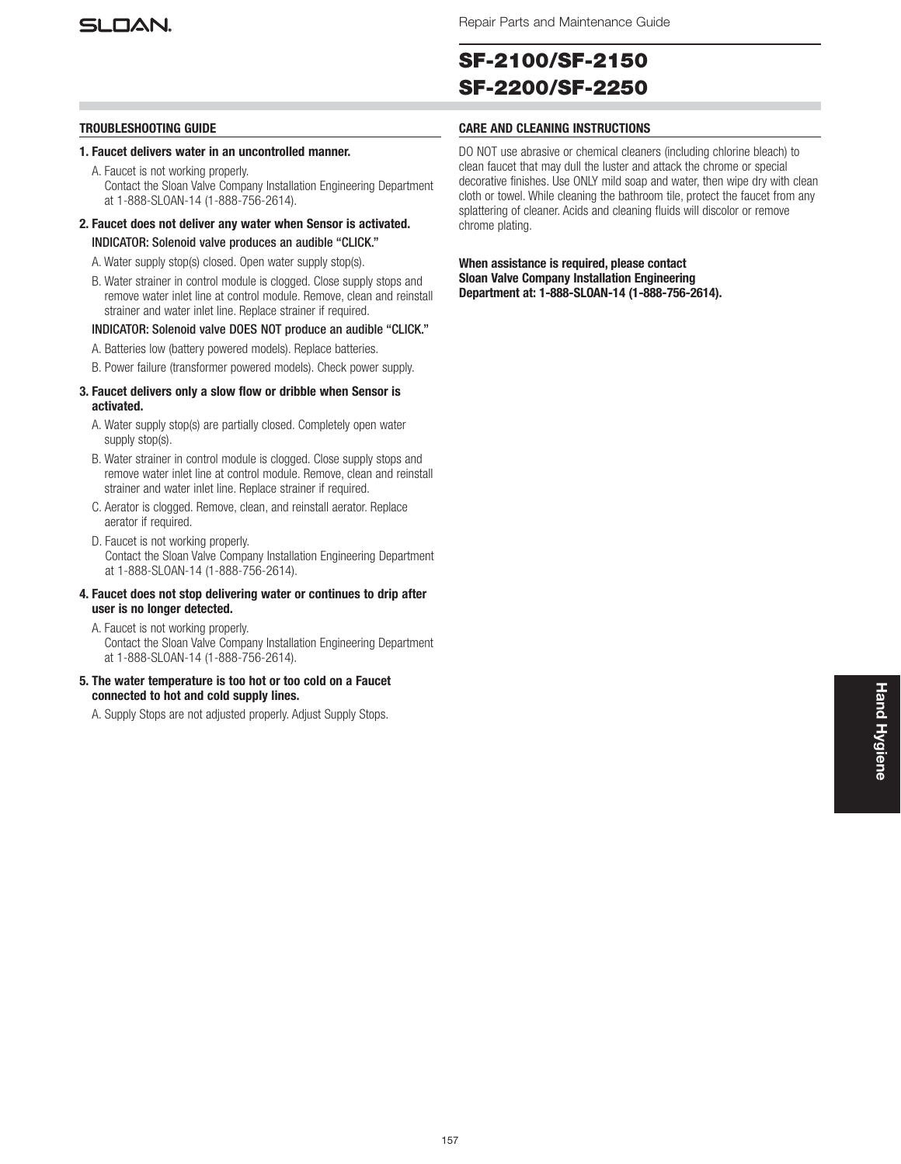

# **SF-2100/SF-2150 SF-2200/SF-2250**

- **1. Faucet delivers water in an uncontrolled manner.**
	- A. Faucet is not working properly. Contact the Sloan Valve Company Installation Engineering Department at 1-888-SLOAN-14 (1-888-756-2614).
- **2. Faucet does not deliver any water when Sensor is activated.**
	- INDICATOR: Solenoid valve produces an audible "CLICK."
	- A. Water supply stop(s) closed. Open water supply stop(s).
	- B. Water strainer in control module is clogged. Close supply stops and remove water inlet line at control module. Remove, clean and reinstall strainer and water inlet line. Replace strainer if required.

### INDICATOR: Solenoid valve DOES NOT produce an audible "CLICK."

- A. Batteries low (battery powered models). Replace batteries.
- B. Power failure (transformer powered models). Check power supply.

### **3. Faucet delivers only a slow flow or dribble when Sensor is activated.**

- A. Water supply stop(s) are partially closed. Completely open water supply stop(s).
- B. Water strainer in control module is clogged. Close supply stops and remove water inlet line at control module. Remove, clean and reinstall strainer and water inlet line. Replace strainer if required.
- C. Aerator is clogged. Remove, clean, and reinstall aerator. Replace aerator if required.
- D. Faucet is not working properly. Contact the Sloan Valve Company Installation Engineering Department at 1-888-SLOAN-14 (1-888-756-2614).

### **4. Faucet does not stop delivering water or continues to drip after user is no longer detected.**

- A. Faucet is not working properly. Contact the Sloan Valve Company Installation Engineering Department at 1-888-SLOAN-14 (1-888-756-2614).
- **5. The water temperature is too hot or too cold on a Faucet connected to hot and cold supply lines.**

A. Supply Stops are not adjusted properly. Adjust Supply Stops.

### **TROUBLESHOOTING GUIDE CARE AND CLEANING INSTRUCTIONS**

DO NOT use abrasive or chemical cleaners (including chlorine bleach) to clean faucet that may dull the luster and attack the chrome or special decorative finishes. Use ONLY mild soap and water, then wipe dry with clean cloth or towel. While cleaning the bathroom tile, protect the faucet from any splattering of cleaner. Acids and cleaning fluids will discolor or remove chrome plating.

**When assistance is required, please contact Sloan Valve Company Installation Engineering Department at: 1-888-SLOAN-14 (1-888-756-2614).**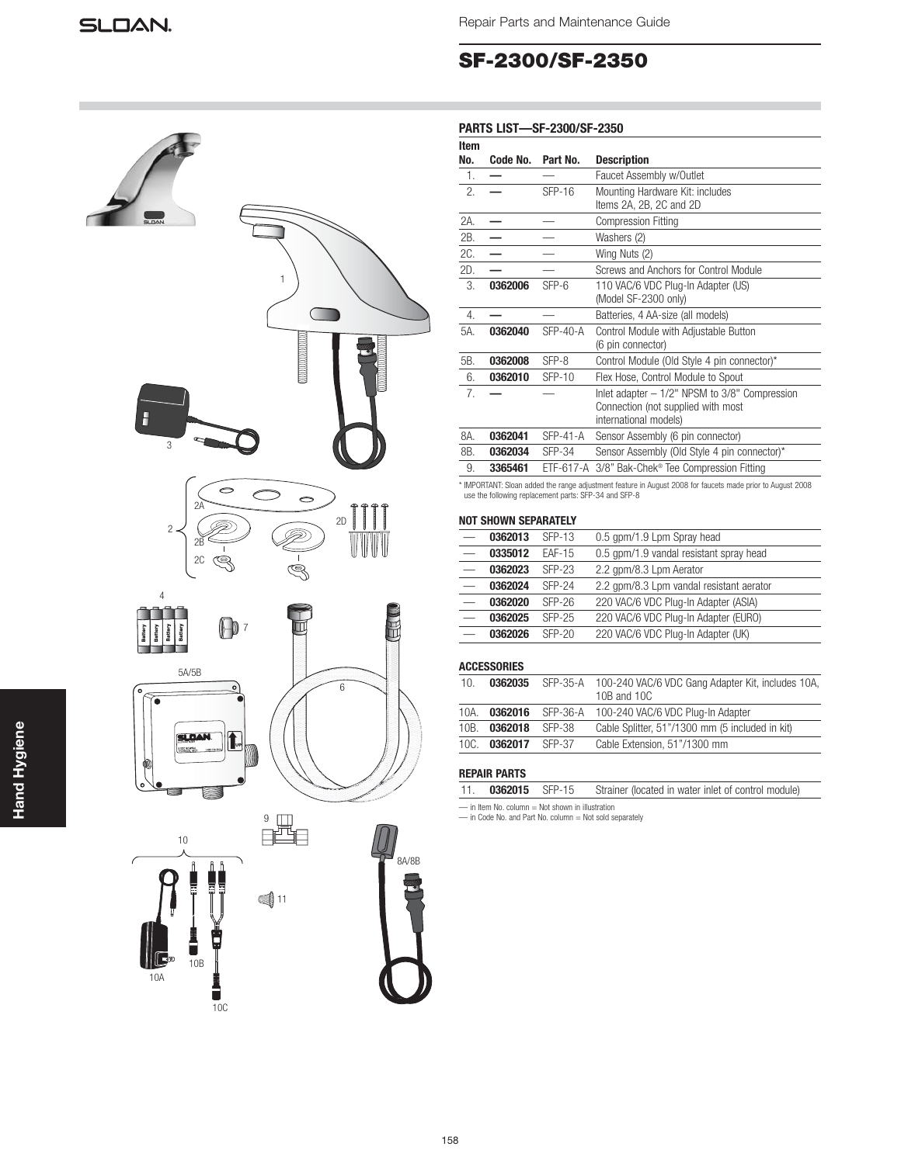3

2

4

 $\mathcal{D}$ 

 $\circ$ 

 $\blacksquare$  $\mathbb{Q}$   $\bigcirc$ 

 $\circ$ 

S

2B 2C Repair Parts and Maintenance Guide

## **SF-2300/SF-2350**

### **PARTS LIST—SF-2300/SF-2350**

| Item<br>No.    | Code No.                                                                             | Part No.      | <b>Description</b>                                                                                                |
|----------------|--------------------------------------------------------------------------------------|---------------|-------------------------------------------------------------------------------------------------------------------|
| $\mathbf{1}$ . |                                                                                      |               | Faucet Assembly w/Outlet                                                                                          |
| 2.             |                                                                                      | SFP-16        | Mounting Hardware Kit: includes<br>Items 2A, 2B, 2C and 2D                                                        |
| 2A.            |                                                                                      |               | <b>Compression Fitting</b>                                                                                        |
| 2B.            |                                                                                      |               | Washers (2)                                                                                                       |
| 2C.            |                                                                                      |               | Wing Nuts (2)                                                                                                     |
| 2D.            |                                                                                      |               | Screws and Anchors for Control Module                                                                             |
| 3.             | 0362006                                                                              | SFP-6         | 110 VAC/6 VDC Plug-In Adapter (US)<br>(Model SF-2300 only)                                                        |
| 4.             |                                                                                      |               | Batteries, 4 AA-size (all models)                                                                                 |
| 5A.            | 0362040                                                                              | $SFP-40-A$    | Control Module with Adjustable Button<br>(6 pin connector)                                                        |
| 5B.            | 0362008                                                                              | SFP-8         | Control Module (Old Style 4 pin connector)*                                                                       |
| 6.             | 0362010                                                                              | <b>SFP-10</b> | Flex Hose, Control Module to Spout                                                                                |
| 7.             |                                                                                      |               | Inlet adapter $-1/2$ " NPSM to $3/8$ " Compression<br>Connection (not supplied with most<br>international models) |
| 8A.            | 0362041                                                                              | $SFP-41-A$    | Sensor Assembly (6 pin connector)                                                                                 |
| 8B.            | 0362034                                                                              | <b>SFP-34</b> | Sensor Assembly (Old Style 4 pin connector)*                                                                      |
| 9.             | 3365461                                                                              |               | ETF-617-A 3/8" Bak-Chek® Tee Compression Fitting                                                                  |
|                | use the following replacement parts: SFP-34 and SFP-8<br><b>NOT SHOWN SEPARATELY</b> |               | * IMPORTANT: Sloan added the range adjustment feature in August 2008 for faucets made prior to August 2008        |
|                | 0362013                                                                              | <b>SFP-13</b> | 0.5 gpm/1.9 Lpm Spray head                                                                                        |
|                | 0335012                                                                              | <b>EAF-15</b> | 0.5 gpm/1.9 vandal resistant spray head                                                                           |
|                | 0362023                                                                              | <b>SFP-23</b> | 2.2 gpm/8.3 Lpm Aerator                                                                                           |
|                | 0362024                                                                              | <b>SFP-24</b> | 2.2 gpm/8.3 Lpm vandal resistant aerator                                                                          |
|                | 0362020                                                                              | <b>SFP-26</b> | 220 VAC/6 VDC Plug-In Adapter (ASIA)                                                                              |



1





|                                  | NUL JUVIN JELAHALEEL |               |                                          |
|----------------------------------|----------------------|---------------|------------------------------------------|
|                                  | 0362013              | SFP-13        | 0.5 gpm/1.9 Lpm Spray head               |
| $\overline{\phantom{m}}$         | 0335012              | <b>EAF-15</b> | 0.5 gpm/1.9 vandal resistant spray head  |
| $\overbrace{\phantom{12322111}}$ | 0362023              | SFP-23        | 2.2 gpm/8.3 Lpm Aerator                  |
|                                  | 0362024              | <b>SFP-24</b> | 2.2 gpm/8.3 Lpm vandal resistant aerator |
|                                  | 0362020              | $SFP-26$      | 220 VAC/6 VDC Plug-In Adapter (ASIA)     |
|                                  | 0362025              | SFP-25        | 220 VAC/6 VDC Plug-In Adapter (EURO)     |
|                                  | 0362026              | <b>SFP-20</b> | 220 VAC/6 VDC Plug-In Adapter (UK)       |
|                                  |                      |               |                                          |
|                                  | <b>ACCESSORIES</b>   |               |                                          |

| 10 <sub>1</sub> | 0362035 |          | SFP-35-A 100-240 VAC/6 VDC Gang Adapter Kit, includes 10A,<br>10B and 10C |
|-----------------|---------|----------|---------------------------------------------------------------------------|
| $10A$ .         | 0362016 | SFP-36-A | 100-240 VAC/6 VDC Plug-In Adapter                                         |
| 10B.            | 0362018 | SFP-38   | Cable Splitter, 51"/1300 mm (5 included in kit)                           |
| 10C.            | 0362017 | SFP-37   | Cable Extension, 51"/1300 mm                                              |
|                 |         |          |                                                                           |

### **REPAIR PARTS**

| 0362015 SFP-15<br>Strainer (located in water inlet of control module)<br>11. |  |
|------------------------------------------------------------------------------|--|
|------------------------------------------------------------------------------|--|

— in Item No. column = Not shown in illustration — in Code No. and Part No. column = Not sold separately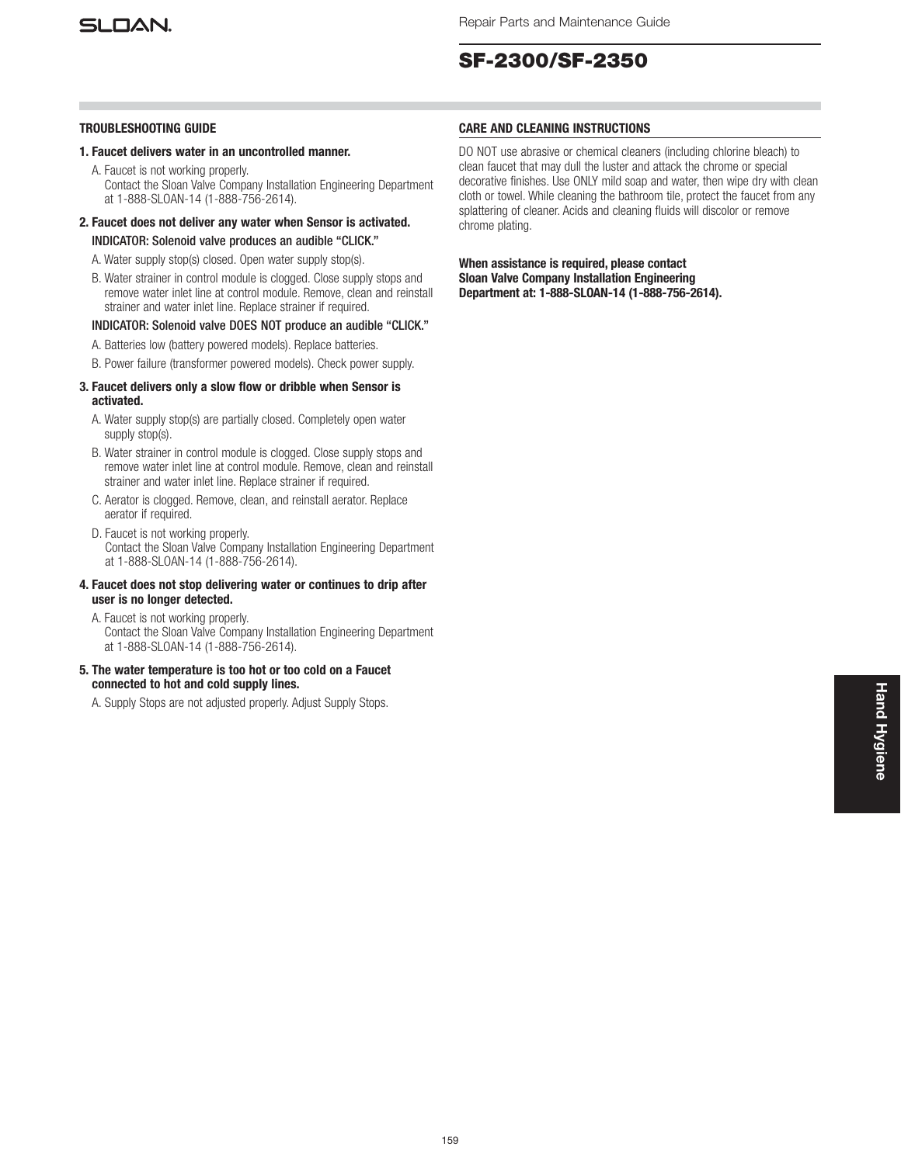

## **SF-2300/SF-2350**

### **TROUBLESHOOTING GUIDE**

- **1. Faucet delivers water in an uncontrolled manner.**
	- A. Faucet is not working properly. Contact the Sloan Valve Company Installation Engineering Department at 1-888-SLOAN-14 (1-888-756-2614).
- **2. Faucet does not deliver any water when Sensor is activated.** INDICATOR: Solenoid valve produces an audible "CLICK."
	- A. Water supply stop(s) closed. Open water supply stop(s).
	- B. Water strainer in control module is clogged. Close supply stops and remove water inlet line at control module. Remove, clean and reinstall strainer and water inlet line. Replace strainer if required.

### INDICATOR: Solenoid valve DOES NOT produce an audible "CLICK."

- A. Batteries low (battery powered models). Replace batteries.
- B. Power failure (transformer powered models). Check power supply.

### **3. Faucet delivers only a slow flow or dribble when Sensor is activated.**

- A. Water supply stop(s) are partially closed. Completely open water supply stop(s).
- B. Water strainer in control module is clogged. Close supply stops and remove water inlet line at control module. Remove, clean and reinstall strainer and water inlet line. Replace strainer if required.
- C. Aerator is clogged. Remove, clean, and reinstall aerator. Replace aerator if required.
- D. Faucet is not working properly. Contact the Sloan Valve Company Installation Engineering Department at 1-888-SLOAN-14 (1-888-756-2614).

### **4. Faucet does not stop delivering water or continues to drip after user is no longer detected.**

- A. Faucet is not working properly. Contact the Sloan Valve Company Installation Engineering Department at 1-888-SLOAN-14 (1-888-756-2614).
- **5. The water temperature is too hot or too cold on a Faucet connected to hot and cold supply lines.**

A. Supply Stops are not adjusted properly. Adjust Supply Stops.

### **CARE AND CLEANING INSTRUCTIONS**

DO NOT use abrasive or chemical cleaners (including chlorine bleach) to clean faucet that may dull the luster and attack the chrome or special decorative finishes. Use ONLY mild soap and water, then wipe dry with clean cloth or towel. While cleaning the bathroom tile, protect the faucet from any splattering of cleaner. Acids and cleaning fluids will discolor or remove chrome plating.

**When assistance is required, please contact Sloan Valve Company Installation Engineering Department at: 1-888-SLOAN-14 (1-888-756-2614).**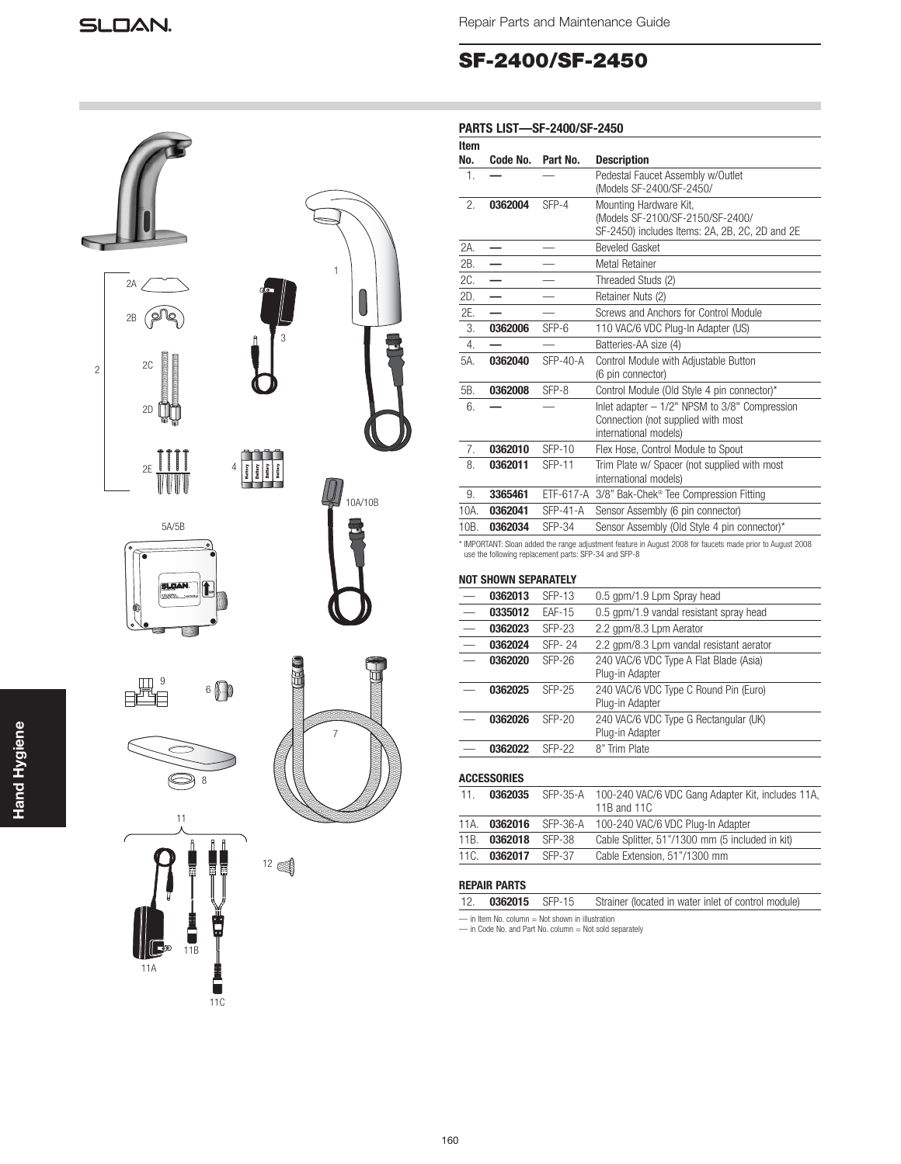## **SF-2400/SF-2450**



| Item<br>No. | Code No.             | Part No.                                              | <b>Description</b>                                                                                           |
|-------------|----------------------|-------------------------------------------------------|--------------------------------------------------------------------------------------------------------------|
| 1.          |                      |                                                       | Pedestal Faucet Assembly w/Outlet<br>(Models SF-2400/SF-2450/                                                |
| 2.          | 0362004              | SFP-4                                                 | Mounting Hardware Kit,<br>(Models SF-2100/SF-2150/SF-2400/<br>SF-2450) includes Items: 2A, 2B, 2C, 2D and 2E |
| 2A.         |                      |                                                       | <b>Beveled Gasket</b>                                                                                        |
| 2B.         |                      |                                                       | <b>Metal Retainer</b>                                                                                        |
| 2C.         |                      |                                                       | Threaded Studs (2)                                                                                           |
| 2D.         |                      |                                                       | Retainer Nuts (2)                                                                                            |
| 2E.         |                      |                                                       | Screws and Anchors for Control Module                                                                        |
| 3.          | 0362006              | SFP-6                                                 | 110 VAC/6 VDC Plug-In Adapter (US)                                                                           |
| 4.          |                      |                                                       | Batteries-AA size (4)                                                                                        |
| 5A.         | 0362040              | $SFP-40-A$                                            | Control Module with Adjustable Button<br>(6 pin connector)                                                   |
| 5B.         | 0362008              | SFP-8                                                 | Control Module (Old Style 4 pin connector)*                                                                  |
| 6.          |                      |                                                       | Inlet adapter - 1/2" NPSM to 3/8" Compression<br>Connection (not supplied with most<br>international models) |
| 7.          | 0362010              | <b>SFP-10</b>                                         | Flex Hose, Control Module to Spout                                                                           |
| 8.          | 0362011              | <b>SFP-11</b>                                         | Trim Plate w/ Spacer (not supplied with most<br>international models)                                        |
| 9.          | 3365461              |                                                       | ETF-617-A 3/8" Bak-Chek® Tee Compression Fitting                                                             |
| 10A.        | 0362041              | <b>SFP-41-A</b>                                       | Sensor Assembly (6 pin connector)                                                                            |
| 10B.        | 0362034              | $SFP-34$                                              | Sensor Assembly (Old Style 4 pin connector)*                                                                 |
|             | NOT SHOWN SEPARATELY | use the following replacement parts: SFP-34 and SFP-8 | * IMPORTANT: Sloan added the range adjustment feature in August 2008 for faucets made prior to August 2008   |
|             | 0362013              | <b>SFP-13</b>                                         | 0.5 gpm/1.9 Lpm Spray head                                                                                   |
|             | 0335012              | <b>EAF-15</b>                                         | 0.5 gpm/1.9 vandal resistant spray head                                                                      |
|             | 0362023              | <b>SFP-23</b>                                         | 2.2 gpm/8.3 Lpm Aerator                                                                                      |
|             | 0362024              | SFP-24                                                | 2.2 gpm/8.3 Lpm vandal resistant aerator                                                                     |
|             | 0362020              | <b>SFP-26</b>                                         | 240 VAC/6 VDC Type A Flat Blade (Asia)<br>Plug-in Adapter                                                    |
|             | 0362025              | <b>SFP-25</b>                                         | 240 VAC/6 VDC Type C Round Pin (Euro)<br>Plug-in Adapter                                                     |
|             |                      |                                                       |                                                                                                              |
|             | 0362026              | <b>SFP-20</b>                                         | 240 VAC/6 VDC Type G Rectangular (UK)<br>Plug-in Adapter                                                     |

**ACCESSORIES**

| 11.  | 0362035             |        | SFP-35-A 100-240 VAC/6 VDC Gang Adapter Kit, includes 11A,<br>11B and 11C |
|------|---------------------|--------|---------------------------------------------------------------------------|
| 11A. |                     |        | 0362016 SFP-36-A 100-240 VAC/6 VDC Plug-In Adapter                        |
|      | 11B. 0362018        | SFP-38 | Cable Splitter, 51"/1300 mm (5 included in kit)                           |
|      | 11C. 0362017 SFP-37 |        | Cable Extension, 51"/1300 mm                                              |

### **REPAIR PARTS**

|                                                  |  |  | 12. <b>0362015</b> SFP-15 Strainer (located in water inlet of control module) |  |  |
|--------------------------------------------------|--|--|-------------------------------------------------------------------------------|--|--|
| - in Item No. column = Not shown in illustration |  |  |                                                                               |  |  |

— in Item No. column = Not shown in illustration — in Code No. and Part No. column = Not sold separately

|                | $2A \angle$<br>2B<br>lg<br>Š                                            | ф<br>3                                                     | $\mathbf{1}$   |
|----------------|-------------------------------------------------------------------------|------------------------------------------------------------|----------------|
| $\overline{c}$ | 2C<br>2D                                                                |                                                            |                |
|                | <b>Formally</b><br>2E<br>U                                              | $\overline{4}$<br>Battery<br>Battery<br>Battery<br>Battery | 10A/10B        |
|                | 5A/5B<br>$\overline{\mathbf{c}}$<br>Ń.<br> ur<br>ò                      |                                                            |                |
|                | 9<br>$6$ $\bigoplus$                                                    |                                                            |                |
|                | 8<br>11                                                                 |                                                            | $\overline{7}$ |
|                | $\frac{1}{2}$<br>Î<br>$\frac{1}{2}$<br>FF<br>T<br>$\int_{\mathbb{S}^2}$ | $12 \in \text{R}$                                          |                |

围

11A

11B

 $\begin{array}{c}\n1 \\
\hline\n11C\n\end{array}$